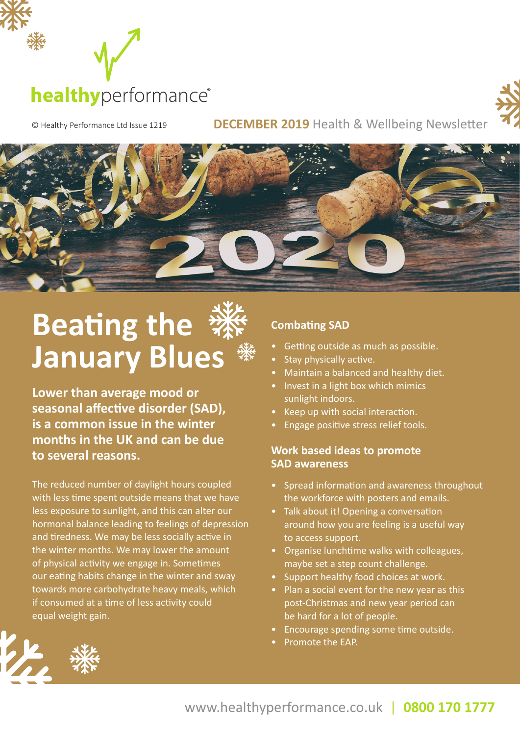



© Healthy Performance Ltd Issue 1219 **DECEMBER 2019** Health & Wellbeing Newsletter



## **Beating the January Blues**

**Lower than average mood or seasonal affective disorder (SAD), is a common issue in the winter months in the UK and can be due to several reasons.** 

The reduced number of daylight hours coupled with less time spent outside means that we have less exposure to sunlight, and this can alter our hormonal balance leading to feelings of depression and tiredness. We may be less socially active in the winter months. We may lower the amount of physical activity we engage in. Sometimes our eating habits change in the winter and sway towards more carbohydrate heavy meals, which if consumed at a time of less activity could equal weight gain.

#### **Combating SAD**

- Getting outside as much as possible.
- Stay physically active.
- Maintain a balanced and healthy diet.
- Invest in a light box which mimics sunlight indoors.
- Keep up with social interaction.
- Engage positive stress relief tools.

#### **Work based ideas to promote SAD awareness**

- Spread information and awareness throughout the workforce with posters and emails.
- Talk about it! Opening a conversation around how you are feeling is a useful way to access support.
- Organise lunchtime walks with colleagues, maybe set a step count challenge.
- Support healthy food choices at work.
- Plan a social event for the new year as this post-Christmas and new year period can be hard for a lot of people.
- Encourage spending some time outside.
- Promote the EAP.